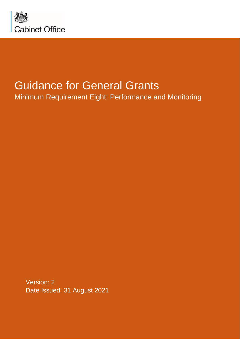

# Guidance for General Grants

Minimum Requirement Eight: Performance and Monitoring

Version: 2 Date Issued: 31 August 2021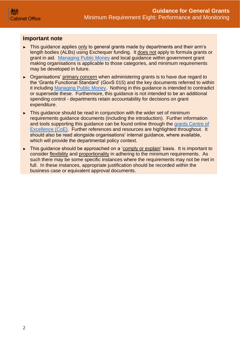### **Important note**

- ► This guidance applies only to general grants made by departments and their arm's length bodies (ALBs) using Exchequer funding. It does not apply to formula grants or grant in aid. [Managing Public Money](https://www.gov.uk/government/publications/managing-public-money) and local guidance within government grant making organisations is applicable to those categories, and minimum requirements may be developed in future.
- ► Organisations' primary concern when administering grants is to have due regard to the 'Grants Functional Standard' (GovS 015) and the key documents referred to within it including [Managing Public Money.](https://www.gov.uk/government/publications/managing-public-money) Nothing in this guidance is intended to contradict or supersede these. Furthermore, this guidance is not intended to be an additional spending control - departments retain accountability for decisions on grant expenditure.
- ► This guidance should be read in conjunction with the wider set of minimum requirements guidance documents (including the introduction). Further information and tools supporting this guidance can be found online through the [grants Centre of](https://gcoe.civilservice.gov.uk/)  [Excellence \(CoE\).](https://gcoe.civilservice.gov.uk/) Further references and resources are highlighted throughout. It should also be read alongside organisations' internal guidance, where available, which will provide the departmental policy context.
- ► This guidance should be approached on a 'comply or explain' basis. It is important to consider flexibility and proportionality in adhering to the minimum requirements. As such there may be some specific instances where the requirements may not be met in full. In these instances, appropriate justification should be recorded within the business case or equivalent approval documents.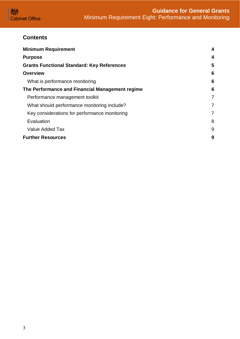

# **Contents**

| <b>Minimum Requirement</b>                        | $\overline{\mathbf{4}}$ |
|---------------------------------------------------|-------------------------|
| <b>Purpose</b>                                    | 4                       |
| <b>Grants Functional Standard: Key References</b> | 5                       |
| <b>Overview</b>                                   | 6                       |
| What is performance monitoring                    | 6                       |
| The Performance and Financial Management regime   | 6                       |
| Performance management toolkit                    | $\overline{7}$          |
| What should performance monitoring include?       | 7                       |
| Key considerations for performance monitoring     | 7                       |
| Evaluation                                        | 8                       |
| <b>Value Added Tax</b>                            | 9                       |
| <b>Further Resources</b>                          | 9                       |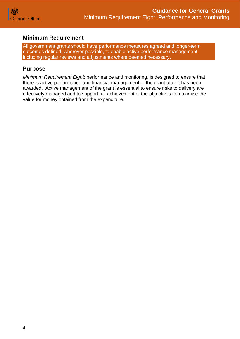## <span id="page-3-0"></span>**Minimum Requirement**

All government grants should have performance measures agreed and longer-term outcomes defined, wherever possible, to enable active performance management, including regular reviews and adjustments where deemed necessary.

## <span id="page-3-1"></span>**Purpose**

*Minimum Requirement Eight*: performance and monitoring, is designed to ensure that there is active performance and financial management of the grant after it has been awarded. Active management of the grant is essential to ensure risks to delivery are effectively managed and to support full achievement of the objectives to maximise the value for money obtained from the expenditure.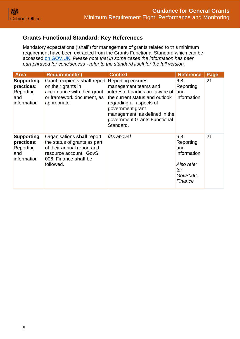# <span id="page-4-0"></span>**Grants Functional Standard: Key References**

Mandatory expectations ('shall') for management of grants related to this minimum requirement have been extracted from the Grants Functional Standard which can be accessed [on GOV.UK.](https://www.gov.uk/government/publications/grants-standards/grant-standards) *Please note that in some cases the information has been paraphrased for conciseness - refer to the standard itself for the full version.*

| <b>Area</b>                                                        | <b>Requirement(s)</b>                                                                                                                                    | <b>Context</b>                                                                                                                                                                                                          | <b>Reference</b>                                                                   | Page |
|--------------------------------------------------------------------|----------------------------------------------------------------------------------------------------------------------------------------------------------|-------------------------------------------------------------------------------------------------------------------------------------------------------------------------------------------------------------------------|------------------------------------------------------------------------------------|------|
| <b>Supporting</b><br>practices:<br>Reporting<br>and<br>information | Grant recipients shall report Reporting ensures<br>on their grants in<br>accordance with their grant<br>or framework document, as<br>appropriate.        | management teams and<br>interested parties are aware of<br>the current status and outlook<br>regarding all aspects of<br>government grant<br>management, as defined in the<br>government Grants Functional<br>Standard. | 6.8<br>Reporting<br>and<br>information                                             | 21   |
| <b>Supporting</b><br>practices:<br>Reporting<br>and<br>information | Organisations shall report<br>the status of grants as part<br>of their annual report and<br>resource account. GovS<br>006, Finance shall be<br>followed. | [As above]                                                                                                                                                                                                              | 6.8<br>Reporting<br>and<br>information<br>Also refer<br>to:<br>GovS006,<br>Finance | 21   |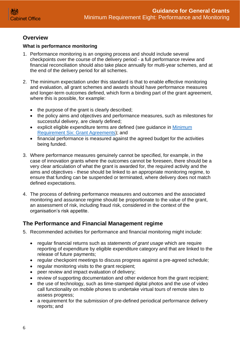

# <span id="page-5-0"></span>**Overview**

## <span id="page-5-1"></span>**What is performance monitoring**

- 1. Performance monitoring is an ongoing process and should include several checkpoints over the course of the delivery period - a full performance review and financial reconciliation should also take place annually for multi-year schemes, and at the end of the delivery period for all schemes.
- 2. The minimum expectation under this standard is that to enable effective monitoring and evaluation, all grant schemes and awards should have performance measures and longer-term outcomes defined, which form a binding part of the grant agreement, where this is possible, for example:
	- the purpose of the grant is clearly described;
	- the policy aims and objectives and performance measures, such as milestones for successful delivery, are clearly defined;
	- explicit eligible expenditure terms are defined (see guidance in Minimum [Requirement Six: Grant Agreements\)](https://assets.publishing.service.gov.uk/government/uploads/system/uploads/attachment_data/file/722200/Grants-Standard-SIX-Grant-Agreements.pdf); and
	- financial performance is measured against the agreed budget for the activities being funded.
- 3. Where performance measures genuinely cannot be specified, for example, in the case of innovation grants where the outcomes cannot be foreseen, there should be a very clear articulation of what the grant is awarded for, the required activity and the aims and objectives - these should be linked to an appropriate monitoring regime, to ensure that funding can be suspended or terminated, where delivery does not match defined expectations.
- 4. The process of defining performance measures and outcomes and the associated monitoring and assurance regime should be proportionate to the value of the grant, an assessment of risk, including fraud risk, considered in the context of the organisation's risk appetite.

# <span id="page-5-2"></span>**The Performance and Financial Management regime**

- 5. Recommended activities for performance and financial monitoring might include:
	- regular financial returns such as *statements of grant usage* which are require reporting of expenditure by eligible expenditure category and that are linked to the release of future payments;
	- regular checkpoint meetings to discuss progress against a pre-agreed schedule;
	- regular monitoring visits to the grant recipient;
	- peer review and impact evaluation of delivery;
	- review of supporting documentation and other evidence from the grant recipient;
	- the use of technology, such as time-stamped digital photos and the use of video call functionality on mobile phones to undertake virtual tours of remote sites to assess progress;
	- a requirement for the submission of pre-defined periodical performance delivery reports; and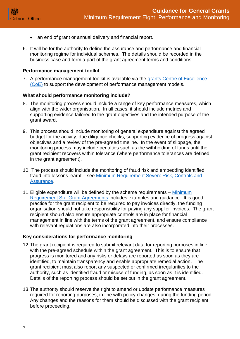- an end of grant or annual delivery and financial report.
- 6. It will be for the authority to define the assurance and performance and financial monitoring regime for individual schemes. The details should be recorded in the business case and form a part of the grant agreement terms and conditions.

#### <span id="page-6-0"></span>**Performance management toolkit**

7. A performance management toolkit is available via the [grants Centre of Excellence](https://gcoe.civilservice.gov.uk/)  [\(CoE\)](https://gcoe.civilservice.gov.uk/) to support the development of performance management models.

#### <span id="page-6-1"></span>**What should performance monitoring include?**

- 8. The monitoring process should include a range of key performance measures, which align with the wider organisation. In all cases, it should include metrics and supporting evidence tailored to the grant objectives and the intended purpose of the grant award.
- 9. This process should include monitoring of general expenditure against the agreed budget for the activity, due diligence checks, supporting evidence of progress against objectives and a review of the pre-agreed timeline. In the event of slippage, the monitoring process may include penalties such as the withholding of funds until the grant recipient recovers within tolerance (where performance tolerances are defined in the grant agreement).
- 10. The process should include the monitoring of fraud risk and embedding identified fraud into lessons learnt – see [Minimum Requirement Seven: Risk, Controls and](https://assets.publishing.service.gov.uk/government/uploads/system/uploads/attachment_data/file/896343/Grants-Standard-SEVEN-Due-Diligence-and-Fraud-Risk.pdf)  [Assurance.](https://assets.publishing.service.gov.uk/government/uploads/system/uploads/attachment_data/file/896343/Grants-Standard-SEVEN-Due-Diligence-and-Fraud-Risk.pdf)
- 11.Eligible expenditure will be defined by the scheme requirements [Minimum](https://assets.publishing.service.gov.uk/government/uploads/system/uploads/attachment_data/file/722200/Grants-Standard-SIX-Grant-Agreements.pdf)  [Requirement Six: Grant Agreements](https://assets.publishing.service.gov.uk/government/uploads/system/uploads/attachment_data/file/722200/Grants-Standard-SIX-Grant-Agreements.pdf) includes examples and guidance. It is good practice for the grant recipient to be required to pay invoices directly, the funding organisation should not take responsibility for paying any supplier invoices. The grant recipient should also ensure appropriate controls are in place for financial management in line with the terms of the grant agreement, and ensure compliance with relevant regulations are also incorporated into their processes.

#### <span id="page-6-2"></span>**Key considerations for performance monitoring**

- 12.The grant recipient is required to submit relevant data for reporting purposes in line with the pre-agreed schedule within the grant agreement. This is to ensure that progress is monitored and any risks or delays are reported as soon as they are identified, to maintain transparency and enable appropriate remedial action. The grant recipient must also report any suspected or confirmed irregularities to the authority, such as identified fraud or misuse of funding, as soon as it is identified. Details of the reporting process should be set out in the grant agreement.
- 13.The authority should reserve the right to amend or update performance measures required for reporting purposes, in line with policy changes, during the funding period. Any changes and the reasons for them should be discussed with the grant recipient before proceeding.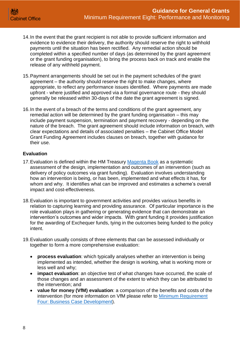

- 14.In the event that the grant recipient is not able to provide sufficient information and evidence to evidence their delivery, the authority should reserve the right to withhold payments until the situation has been rectified. Any remedial action should be completed within a specified number of days (as determined by the grant agreement or the grant funding organisation), to bring the process back on track and enable the release of any withheld payment.
- 15.Payment arrangements should be set out in the payment schedules of the grant agreement – the authority should reserve the right to make changes, where appropriate, to reflect any performance issues identified. Where payments are made upfront - where justified and approved via a formal governance route - they should generally be released within 30-days of the date the grant agreement is signed.
- 16.In the event of a breach of the terms and conditions of the grant agreement, any remedial action will be determined by the grant funding organisation – this may include payment suspension, termination and payment recovery - depending on the nature of the breach. The grant agreement should include information on breach, with clear expectations and details of associated penalties – the Cabinet Office Model Grant Funding Agreement includes clauses on breach, together with guidance for their use.

### <span id="page-7-0"></span>**Evaluation**

- 17. Evaluation is defined within the HM Treasury [Magenta Book](https://www.gov.uk/government/publications/the-magenta-book) as a systematic assessment of the design, implementation and outcomes of an intervention (such as delivery of policy outcomes via grant funding). Evaluation involves understanding how an intervention is being, or has been, implemented and what effects it has, for whom and why. It identifies what can be improved and estimates a scheme's overall impact and cost-effectiveness.
- 18.Evaluation is important to government activities and provides various benefits in relation to capturing learning and providing assurance. Of particular importance is the role evaluation plays in gathering or generating evidence that can demonstrate an intervention's outcomes and wider impacts. With grant funding it provides justification for the awarding of Exchequer funds, tying in the outcomes being funded to the policy intent.
- 19.Evaluation usually consists of three elements that can be assessed individually or together to form a more comprehensive evaluation:
	- **process evaluation**: which typically analyses whether an intervention is being implemented as intended, whether the design is working, what is working more or less well and why;
	- **impact evaluation**: an objective test of what changes have occurred, the scale of those changes and an assessment of the extent to which they can be attributed to the intervention; and
	- **value for money (VfM) evaluation**: a comparison of the benefits and costs of the intervention (for more information on VfM please refer to [Minimum Requirement](https://assets.publishing.service.gov.uk/government/uploads/system/uploads/attachment_data/file/722198/Grants-Standard-FOUR-Business-Case.pdf)  [Four: Business Case Development\)](https://assets.publishing.service.gov.uk/government/uploads/system/uploads/attachment_data/file/722198/Grants-Standard-FOUR-Business-Case.pdf).